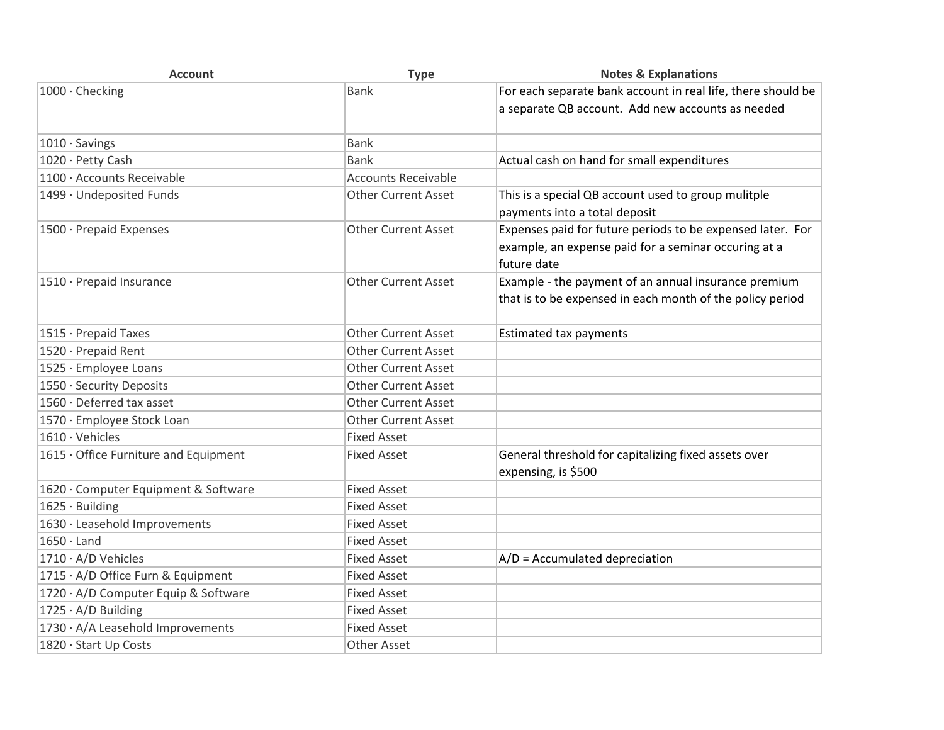| <b>Account</b>                        | <b>Type</b>                | <b>Notes &amp; Explanations</b>                              |
|---------------------------------------|----------------------------|--------------------------------------------------------------|
| 1000 · Checking                       | <b>Bank</b>                | For each separate bank account in real life, there should be |
|                                       |                            | a separate QB account. Add new accounts as needed            |
|                                       |                            |                                                              |
| $1010 \cdot$ Savings                  | <b>Bank</b>                |                                                              |
| 1020 · Petty Cash                     | <b>Bank</b>                | Actual cash on hand for small expenditures                   |
| 1100 · Accounts Receivable            | <b>Accounts Receivable</b> |                                                              |
| 1499 · Undeposited Funds              | <b>Other Current Asset</b> | This is a special QB account used to group mulitple          |
|                                       |                            | payments into a total deposit                                |
| 1500 · Prepaid Expenses               | <b>Other Current Asset</b> | Expenses paid for future periods to be expensed later. For   |
|                                       |                            | example, an expense paid for a seminar occuring at a         |
|                                       |                            | future date                                                  |
| 1510 · Prepaid Insurance              | <b>Other Current Asset</b> | Example - the payment of an annual insurance premium         |
|                                       |                            | that is to be expensed in each month of the policy period    |
|                                       |                            |                                                              |
| 1515 · Prepaid Taxes                  | <b>Other Current Asset</b> | <b>Estimated tax payments</b>                                |
| 1520 · Prepaid Rent                   | <b>Other Current Asset</b> |                                                              |
| 1525 · Employee Loans                 | <b>Other Current Asset</b> |                                                              |
| 1550 · Security Deposits              | <b>Other Current Asset</b> |                                                              |
| 1560 · Deferred tax asset             | <b>Other Current Asset</b> |                                                              |
| 1570 · Employee Stock Loan            | <b>Other Current Asset</b> |                                                              |
| $1610 \cdot$ Vehicles                 | <b>Fixed Asset</b>         |                                                              |
| 1615 · Office Furniture and Equipment | <b>Fixed Asset</b>         | General threshold for capitalizing fixed assets over         |
|                                       |                            | expensing, is \$500                                          |
| 1620 · Computer Equipment & Software  | <b>Fixed Asset</b>         |                                                              |
| 1625 · Building                       | <b>Fixed Asset</b>         |                                                              |
| 1630 · Leasehold Improvements         | <b>Fixed Asset</b>         |                                                              |
| $1650 \cdot$ Land                     | <b>Fixed Asset</b>         |                                                              |
| 1710 · A/D Vehicles                   | <b>Fixed Asset</b>         | $A/D =$ Accumulated depreciation                             |
| 1715 · A/D Office Furn & Equipment    | <b>Fixed Asset</b>         |                                                              |
| 1720 · A/D Computer Equip & Software  | <b>Fixed Asset</b>         |                                                              |
| 1725 · A/D Building                   | <b>Fixed Asset</b>         |                                                              |
| 1730 · A/A Leasehold Improvements     | <b>Fixed Asset</b>         |                                                              |
| 1820 · Start Up Costs                 | Other Asset                |                                                              |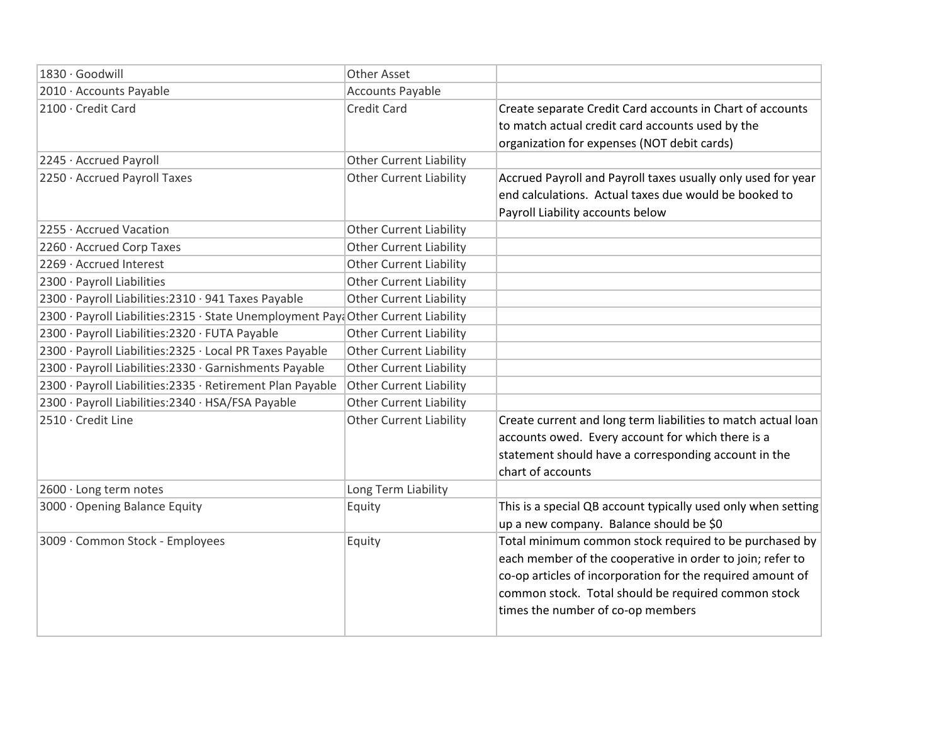| 1830 · Goodwill                                                                   | <b>Other Asset</b>             |                                                               |
|-----------------------------------------------------------------------------------|--------------------------------|---------------------------------------------------------------|
| 2010 · Accounts Payable                                                           | <b>Accounts Payable</b>        |                                                               |
| 2100 · Credit Card                                                                | <b>Credit Card</b>             | Create separate Credit Card accounts in Chart of accounts     |
|                                                                                   |                                | to match actual credit card accounts used by the              |
|                                                                                   |                                | organization for expenses (NOT debit cards)                   |
| 2245 · Accrued Payroll                                                            | <b>Other Current Liability</b> |                                                               |
| 2250 · Accrued Payroll Taxes                                                      | <b>Other Current Liability</b> | Accrued Payroll and Payroll taxes usually only used for year  |
|                                                                                   |                                | end calculations. Actual taxes due would be booked to         |
|                                                                                   |                                | Payroll Liability accounts below                              |
| 2255 · Accrued Vacation                                                           | <b>Other Current Liability</b> |                                                               |
| 2260 · Accrued Corp Taxes                                                         | <b>Other Current Liability</b> |                                                               |
| 2269 · Accrued Interest                                                           | <b>Other Current Liability</b> |                                                               |
| 2300 · Payroll Liabilities                                                        | <b>Other Current Liability</b> |                                                               |
| 2300 · Payroll Liabilities: 2310 · 941 Taxes Payable                              | <b>Other Current Liability</b> |                                                               |
| 2300 · Payroll Liabilities:2315 · State Unemployment Paya Other Current Liability |                                |                                                               |
| 2300 · Payroll Liabilities: 2320 · FUTA Payable                                   | Other Current Liability        |                                                               |
| 2300 · Payroll Liabilities:2325 · Local PR Taxes Payable                          | <b>Other Current Liability</b> |                                                               |
| 2300 · Payroll Liabilities:2330 · Garnishments Payable                            | <b>Other Current Liability</b> |                                                               |
| 2300 · Payroll Liabilities: 2335 · Retirement Plan Payable                        | <b>Other Current Liability</b> |                                                               |
| 2300 · Payroll Liabilities: 2340 · HSA/FSA Payable                                | <b>Other Current Liability</b> |                                                               |
| 2510 · Credit Line                                                                | <b>Other Current Liability</b> | Create current and long term liabilities to match actual loan |
|                                                                                   |                                | accounts owed. Every account for which there is a             |
|                                                                                   |                                | statement should have a corresponding account in the          |
|                                                                                   |                                | chart of accounts                                             |
| 2600 · Long term notes                                                            | Long Term Liability            |                                                               |
| 3000 · Opening Balance Equity                                                     | Equity                         | This is a special QB account typically used only when setting |
|                                                                                   |                                | up a new company. Balance should be \$0                       |
| 3009 · Common Stock - Employees                                                   | Equity                         | Total minimum common stock required to be purchased by        |
|                                                                                   |                                | each member of the cooperative in order to join; refer to     |
|                                                                                   |                                | co-op articles of incorporation for the required amount of    |
|                                                                                   |                                | common stock. Total should be required common stock           |
|                                                                                   |                                | times the number of co-op members                             |
|                                                                                   |                                |                                                               |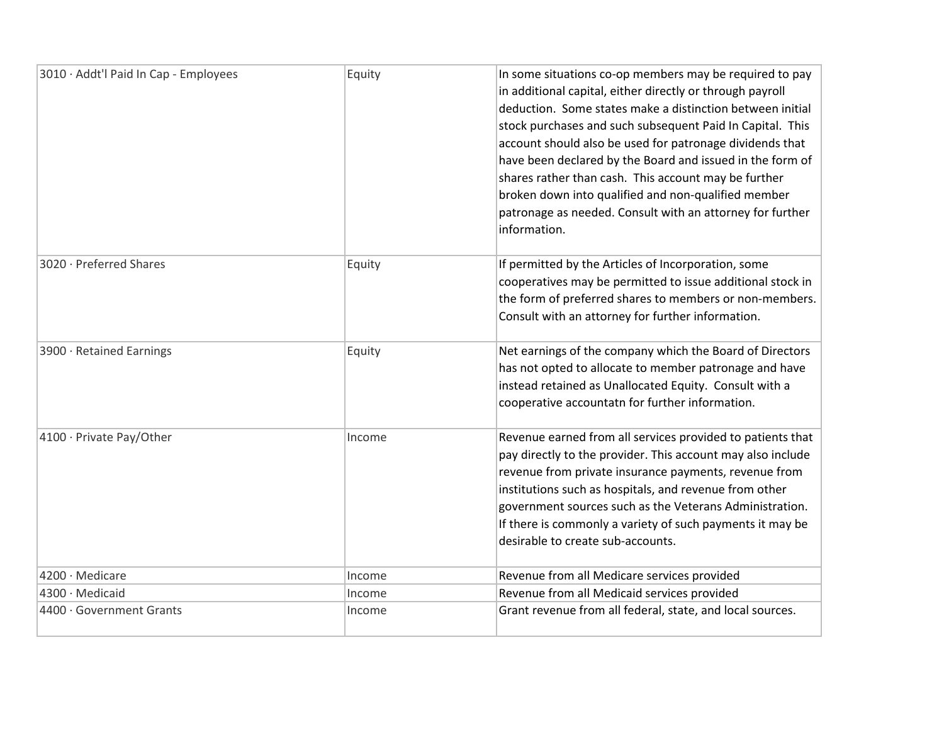| 3010 · Addt'l Paid In Cap - Employees | Equity | In some situations co-op members may be required to pay<br>in additional capital, either directly or through payroll<br>deduction. Some states make a distinction between initial<br>stock purchases and such subsequent Paid In Capital. This<br>account should also be used for patronage dividends that<br>have been declared by the Board and issued in the form of<br>shares rather than cash. This account may be further<br>broken down into qualified and non-qualified member<br>patronage as needed. Consult with an attorney for further<br>information. |
|---------------------------------------|--------|---------------------------------------------------------------------------------------------------------------------------------------------------------------------------------------------------------------------------------------------------------------------------------------------------------------------------------------------------------------------------------------------------------------------------------------------------------------------------------------------------------------------------------------------------------------------|
| 3020 · Preferred Shares               | Equity | If permitted by the Articles of Incorporation, some<br>cooperatives may be permitted to issue additional stock in<br>the form of preferred shares to members or non-members.<br>Consult with an attorney for further information.                                                                                                                                                                                                                                                                                                                                   |
| 3900 · Retained Earnings              | Equity | Net earnings of the company which the Board of Directors<br>has not opted to allocate to member patronage and have<br>instead retained as Unallocated Equity. Consult with a<br>cooperative accountatn for further information.                                                                                                                                                                                                                                                                                                                                     |
| 4100 · Private Pay/Other              | Income | Revenue earned from all services provided to patients that<br>pay directly to the provider. This account may also include<br>revenue from private insurance payments, revenue from<br>institutions such as hospitals, and revenue from other<br>government sources such as the Veterans Administration.<br>If there is commonly a variety of such payments it may be<br>desirable to create sub-accounts.                                                                                                                                                           |
| 4200 · Medicare                       | Income | Revenue from all Medicare services provided                                                                                                                                                                                                                                                                                                                                                                                                                                                                                                                         |
| 4300 · Medicaid                       | Income | Revenue from all Medicaid services provided                                                                                                                                                                                                                                                                                                                                                                                                                                                                                                                         |
| 4400 · Government Grants              | Income | Grant revenue from all federal, state, and local sources.                                                                                                                                                                                                                                                                                                                                                                                                                                                                                                           |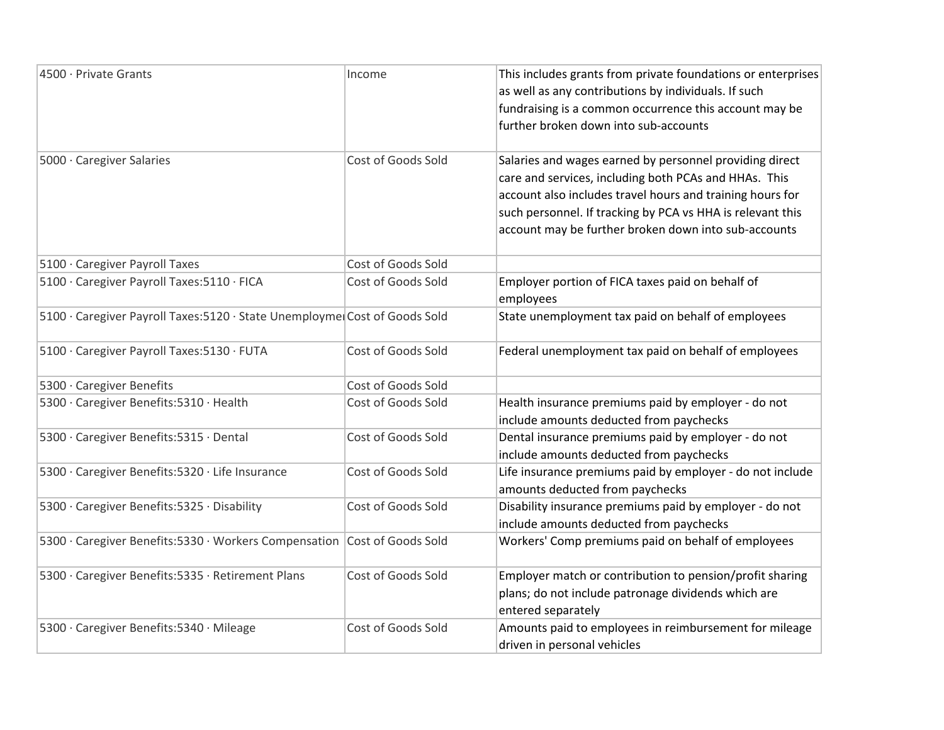| 4500 · Private Grants                                                      | Income                    | This includes grants from private foundations or enterprises |
|----------------------------------------------------------------------------|---------------------------|--------------------------------------------------------------|
|                                                                            |                           | as well as any contributions by individuals. If such         |
|                                                                            |                           | fundraising is a common occurrence this account may be       |
|                                                                            |                           | further broken down into sub-accounts                        |
| 5000 · Caregiver Salaries                                                  | Cost of Goods Sold        | Salaries and wages earned by personnel providing direct      |
|                                                                            |                           | care and services, including both PCAs and HHAs. This        |
|                                                                            |                           | account also includes travel hours and training hours for    |
|                                                                            |                           | such personnel. If tracking by PCA vs HHA is relevant this   |
|                                                                            |                           | account may be further broken down into sub-accounts         |
| 5100 · Caregiver Payroll Taxes                                             | <b>Cost of Goods Sold</b> |                                                              |
| 5100 · Caregiver Payroll Taxes: 5110 · FICA                                | Cost of Goods Sold        | Employer portion of FICA taxes paid on behalf of             |
|                                                                            |                           | employees                                                    |
| 5100 · Caregiver Payroll Taxes: 5120 · State Unemployme Cost of Goods Sold |                           | State unemployment tax paid on behalf of employees           |
| 5100 · Caregiver Payroll Taxes: 5130 · FUTA                                | Cost of Goods Sold        | Federal unemployment tax paid on behalf of employees         |
| 5300 · Caregiver Benefits                                                  | Cost of Goods Sold        |                                                              |
| 5300 · Caregiver Benefits: 5310 · Health                                   | Cost of Goods Sold        | Health insurance premiums paid by employer - do not          |
|                                                                            |                           | include amounts deducted from paychecks                      |
| 5300 · Caregiver Benefits: 5315 · Dental                                   | Cost of Goods Sold        | Dental insurance premiums paid by employer - do not          |
|                                                                            |                           | include amounts deducted from paychecks                      |
| 5300 · Caregiver Benefits: 5320 · Life Insurance                           | Cost of Goods Sold        | Life insurance premiums paid by employer - do not include    |
|                                                                            |                           | amounts deducted from paychecks                              |
| 5300 · Caregiver Benefits: 5325 · Disability                               | Cost of Goods Sold        | Disability insurance premiums paid by employer - do not      |
|                                                                            |                           | include amounts deducted from paychecks                      |
| 5300 · Caregiver Benefits: 5330 · Workers Compensation Cost of Goods Sold  |                           | Workers' Comp premiums paid on behalf of employees           |
| 5300 · Caregiver Benefits: 5335 · Retirement Plans                         | Cost of Goods Sold        | Employer match or contribution to pension/profit sharing     |
|                                                                            |                           | plans; do not include patronage dividends which are          |
|                                                                            |                           | entered separately                                           |
| 5300 · Caregiver Benefits: 5340 · Mileage                                  | Cost of Goods Sold        | Amounts paid to employees in reimbursement for mileage       |
|                                                                            |                           | driven in personal vehicles                                  |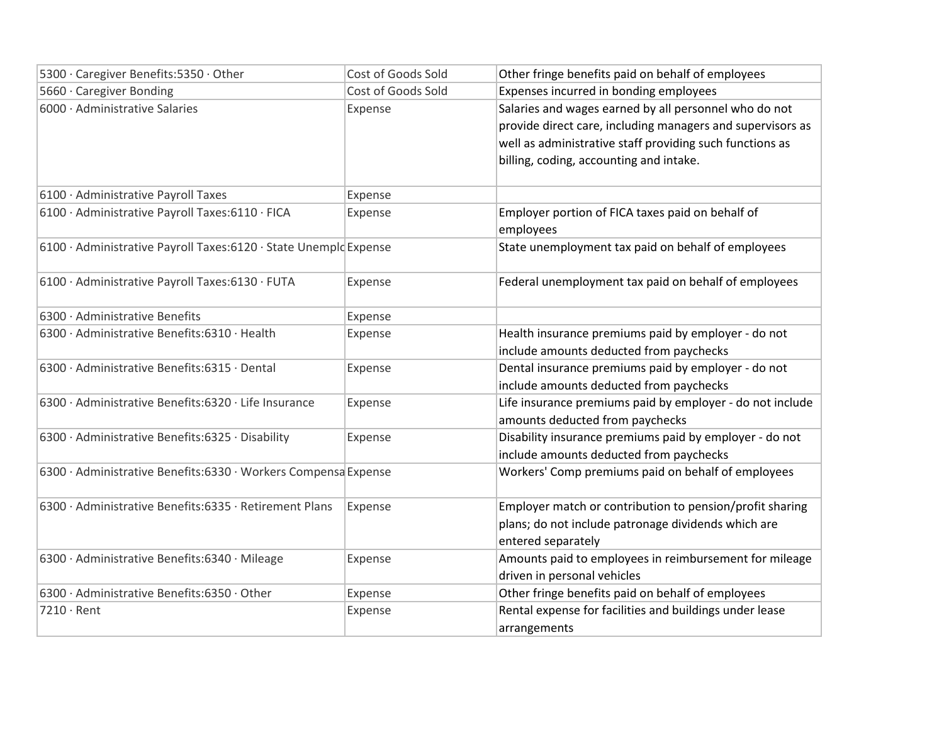| 5300 · Caregiver Benefits: 5350 · Other                           | Cost of Goods Sold | Other fringe benefits paid on behalf of employees          |
|-------------------------------------------------------------------|--------------------|------------------------------------------------------------|
| 5660 · Caregiver Bonding                                          | Cost of Goods Sold | Expenses incurred in bonding employees                     |
| 6000 · Administrative Salaries                                    | Expense            | Salaries and wages earned by all personnel who do not      |
|                                                                   |                    | provide direct care, including managers and supervisors as |
|                                                                   |                    | well as administrative staff providing such functions as   |
|                                                                   |                    | billing, coding, accounting and intake.                    |
|                                                                   |                    |                                                            |
| 6100 · Administrative Payroll Taxes                               | Expense            |                                                            |
| 6100 · Administrative Payroll Taxes: 6110 · FICA                  | Expense            | Employer portion of FICA taxes paid on behalf of           |
|                                                                   |                    | employees                                                  |
| 6100 · Administrative Payroll Taxes: 6120 · State Unemplo Expense |                    | State unemployment tax paid on behalf of employees         |
|                                                                   |                    |                                                            |
| 6100 · Administrative Payroll Taxes:6130 · FUTA                   | Expense            | Federal unemployment tax paid on behalf of employees       |
|                                                                   |                    |                                                            |
| 6300 · Administrative Benefits                                    | Expense            |                                                            |
| 6300 · Administrative Benefits: 6310 · Health                     | Expense            | Health insurance premiums paid by employer - do not        |
|                                                                   |                    | include amounts deducted from paychecks                    |
| 6300 · Administrative Benefits: 6315 · Dental                     | Expense            | Dental insurance premiums paid by employer - do not        |
|                                                                   |                    | include amounts deducted from paychecks                    |
| 6300 · Administrative Benefits: 6320 · Life Insurance             | Expense            | Life insurance premiums paid by employer - do not include  |
|                                                                   |                    | amounts deducted from paychecks                            |
| 6300 · Administrative Benefits: 6325 · Disability                 | Expense            | Disability insurance premiums paid by employer - do not    |
|                                                                   |                    | include amounts deducted from paychecks                    |
| 6300 · Administrative Benefits: 6330 · Workers Compensa Expense   |                    | Workers' Comp premiums paid on behalf of employees         |
|                                                                   |                    |                                                            |
| 6300 · Administrative Benefits: 6335 · Retirement Plans           | Expense            | Employer match or contribution to pension/profit sharing   |
|                                                                   |                    | plans; do not include patronage dividends which are        |
|                                                                   |                    | entered separately                                         |
| 6300 · Administrative Benefits: 6340 · Mileage                    | Expense            | Amounts paid to employees in reimbursement for mileage     |
|                                                                   |                    | driven in personal vehicles                                |
| 6300 · Administrative Benefits:6350 · Other                       | Expense            | Other fringe benefits paid on behalf of employees          |
| 7210 · Rent                                                       | Expense            | Rental expense for facilities and buildings under lease    |
|                                                                   |                    | arrangements                                               |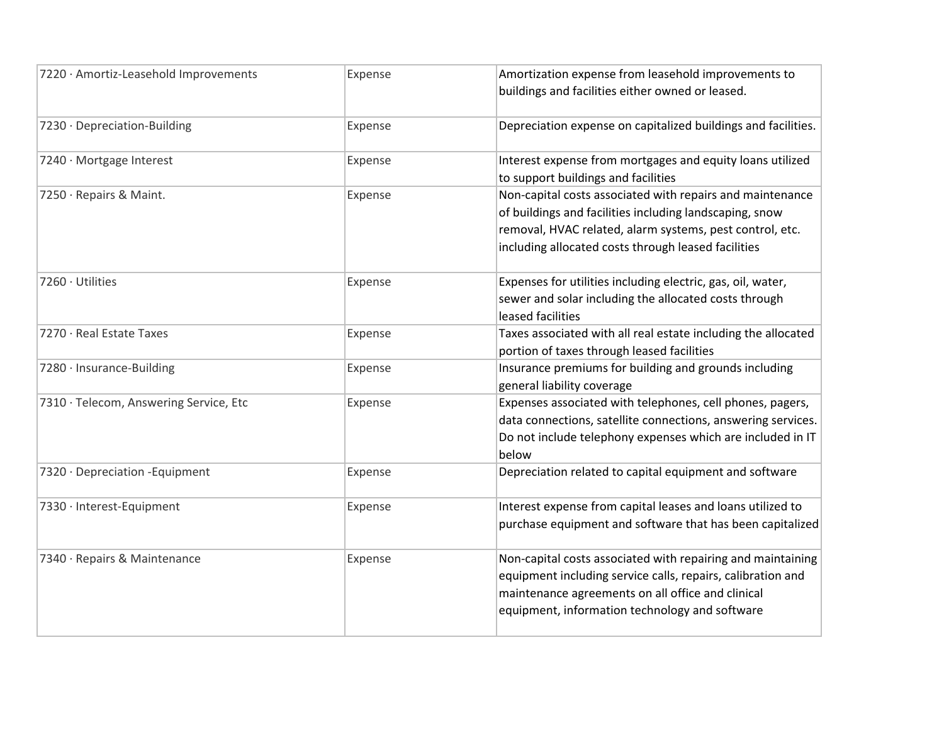| 7220 · Amortiz-Leasehold Improvements  | Expense | Amortization expense from leasehold improvements to<br>buildings and facilities either owned or leased.                                                                                                                                 |
|----------------------------------------|---------|-----------------------------------------------------------------------------------------------------------------------------------------------------------------------------------------------------------------------------------------|
| 7230 · Depreciation-Building           | Expense | Depreciation expense on capitalized buildings and facilities.                                                                                                                                                                           |
| 7240 · Mortgage Interest               | Expense | Interest expense from mortgages and equity loans utilized<br>to support buildings and facilities                                                                                                                                        |
| 7250 · Repairs & Maint.                | Expense | Non-capital costs associated with repairs and maintenance<br>of buildings and facilities including landscaping, snow<br>removal, HVAC related, alarm systems, pest control, etc.<br>including allocated costs through leased facilities |
| 7260 · Utilities                       | Expense | Expenses for utilities including electric, gas, oil, water,<br>sewer and solar including the allocated costs through<br>leased facilities                                                                                               |
| 7270 · Real Estate Taxes               | Expense | Taxes associated with all real estate including the allocated<br>portion of taxes through leased facilities                                                                                                                             |
| 7280 · Insurance-Building              | Expense | Insurance premiums for building and grounds including<br>general liability coverage                                                                                                                                                     |
| 7310 · Telecom, Answering Service, Etc | Expense | Expenses associated with telephones, cell phones, pagers,<br>data connections, satellite connections, answering services.<br>Do not include telephony expenses which are included in IT<br>below                                        |
| 7320 · Depreciation - Equipment        | Expense | Depreciation related to capital equipment and software                                                                                                                                                                                  |
| 7330 · Interest-Equipment              | Expense | Interest expense from capital leases and loans utilized to<br>purchase equipment and software that has been capitalized                                                                                                                 |
| 7340 · Repairs & Maintenance           | Expense | Non-capital costs associated with repairing and maintaining<br>equipment including service calls, repairs, calibration and<br>maintenance agreements on all office and clinical<br>equipment, information technology and software       |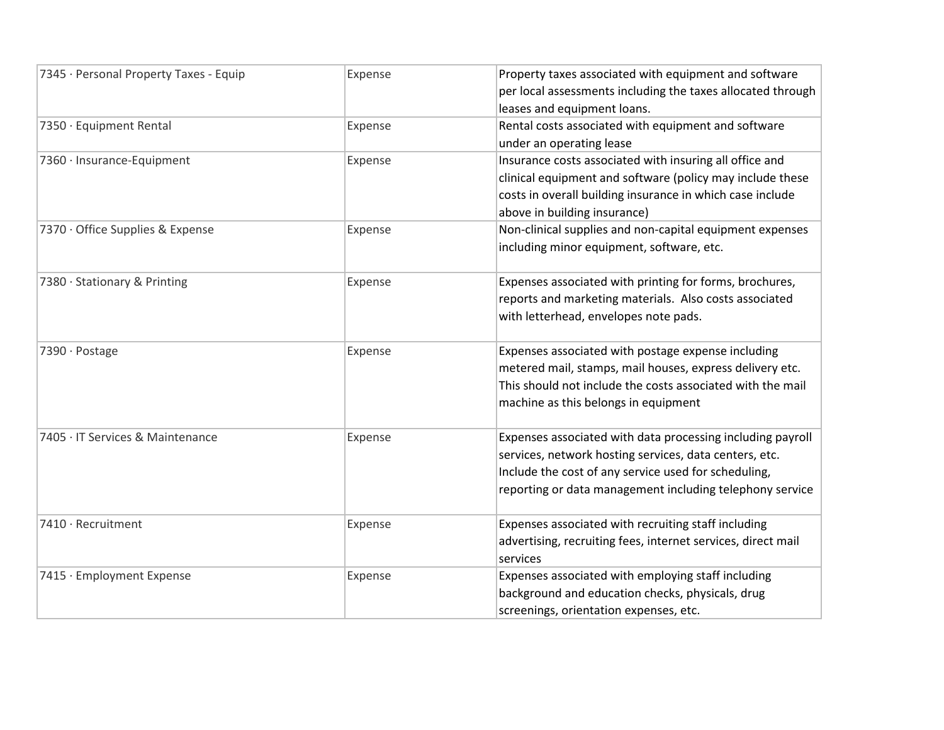| 7345 · Personal Property Taxes - Equip | Expense | Property taxes associated with equipment and software        |
|----------------------------------------|---------|--------------------------------------------------------------|
|                                        |         | per local assessments including the taxes allocated through  |
|                                        |         | leases and equipment loans.                                  |
| 7350 · Equipment Rental                | Expense | Rental costs associated with equipment and software          |
|                                        |         | under an operating lease                                     |
| 7360 · Insurance-Equipment             | Expense | Insurance costs associated with insuring all office and      |
|                                        |         | clinical equipment and software (policy may include these    |
|                                        |         | costs in overall building insurance in which case include    |
|                                        |         | above in building insurance)                                 |
| 7370 · Office Supplies & Expense       | Expense | Non-clinical supplies and non-capital equipment expenses     |
|                                        |         | including minor equipment, software, etc.                    |
| 7380 · Stationary & Printing           | Expense | Expenses associated with printing for forms, brochures,      |
|                                        |         | reports and marketing materials. Also costs associated       |
|                                        |         | with letterhead, envelopes note pads.                        |
| 7390 · Postage                         | Expense | Expenses associated with postage expense including           |
|                                        |         | metered mail, stamps, mail houses, express delivery etc.     |
|                                        |         | This should not include the costs associated with the mail   |
|                                        |         | machine as this belongs in equipment                         |
| 7405 · IT Services & Maintenance       | Expense | Expenses associated with data processing including payroll   |
|                                        |         | services, network hosting services, data centers, etc.       |
|                                        |         | Include the cost of any service used for scheduling,         |
|                                        |         | reporting or data management including telephony service     |
| 7410 · Recruitment                     | Expense | Expenses associated with recruiting staff including          |
|                                        |         | advertising, recruiting fees, internet services, direct mail |
|                                        |         | services                                                     |
| 7415 · Employment Expense              | Expense | Expenses associated with employing staff including           |
|                                        |         | background and education checks, physicals, drug             |
|                                        |         | screenings, orientation expenses, etc.                       |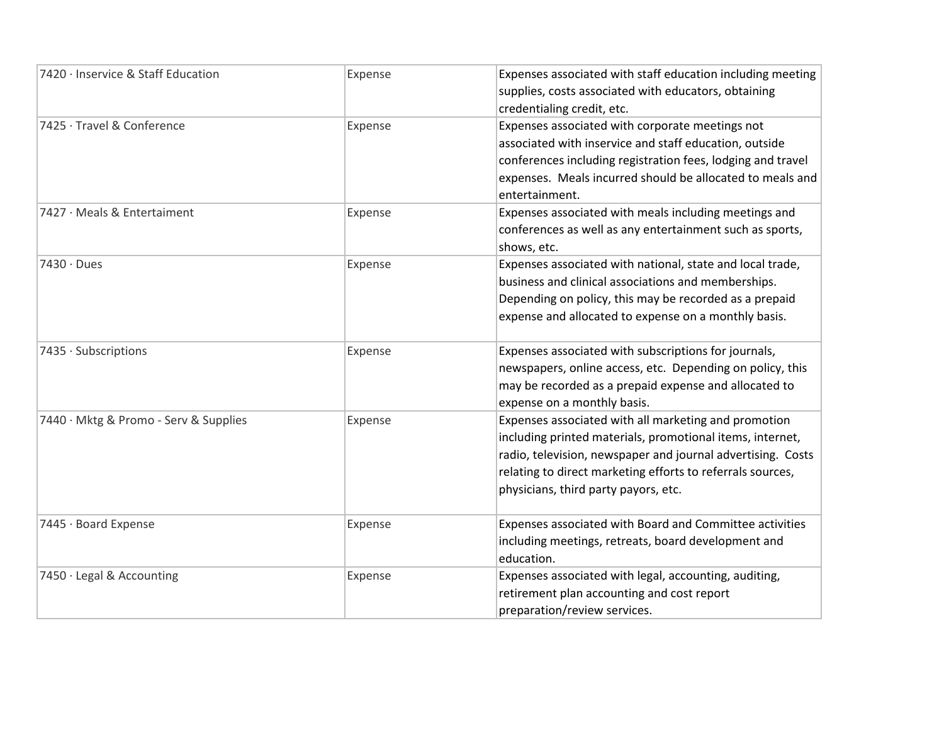| 7420 · Inservice & Staff Education    | Expense | Expenses associated with staff education including meeting  |
|---------------------------------------|---------|-------------------------------------------------------------|
|                                       |         | supplies, costs associated with educators, obtaining        |
|                                       |         | credentialing credit, etc.                                  |
| 7425 · Travel & Conference            | Expense | Expenses associated with corporate meetings not             |
|                                       |         | associated with inservice and staff education, outside      |
|                                       |         | conferences including registration fees, lodging and travel |
|                                       |         | expenses. Meals incurred should be allocated to meals and   |
|                                       |         | entertainment.                                              |
| 7427 · Meals & Entertaiment           | Expense | Expenses associated with meals including meetings and       |
|                                       |         | conferences as well as any entertainment such as sports,    |
|                                       |         | shows, etc.                                                 |
| $7430 \cdot$ Dues                     | Expense | Expenses associated with national, state and local trade,   |
|                                       |         | business and clinical associations and memberships.         |
|                                       |         | Depending on policy, this may be recorded as a prepaid      |
|                                       |         | expense and allocated to expense on a monthly basis.        |
| 7435 · Subscriptions                  | Expense | Expenses associated with subscriptions for journals,        |
|                                       |         | newspapers, online access, etc. Depending on policy, this   |
|                                       |         | may be recorded as a prepaid expense and allocated to       |
|                                       |         | expense on a monthly basis.                                 |
| 7440 · Mktg & Promo - Serv & Supplies | Expense | Expenses associated with all marketing and promotion        |
|                                       |         | including printed materials, promotional items, internet,   |
|                                       |         | radio, television, newspaper and journal advertising. Costs |
|                                       |         | relating to direct marketing efforts to referrals sources,  |
|                                       |         | physicians, third party payors, etc.                        |
| 7445 · Board Expense                  | Expense | Expenses associated with Board and Committee activities     |
|                                       |         | including meetings, retreats, board development and         |
|                                       |         | education.                                                  |
| 7450 · Legal & Accounting             | Expense | Expenses associated with legal, accounting, auditing,       |
|                                       |         | retirement plan accounting and cost report                  |
|                                       |         | preparation/review services.                                |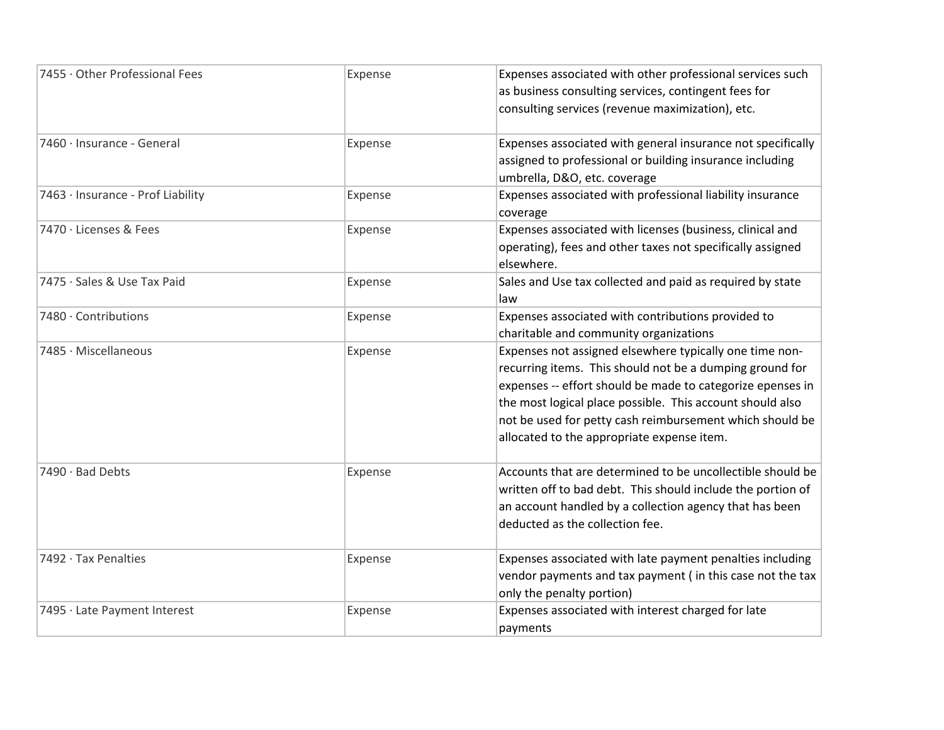| 7455 · Other Professional Fees    | Expense | Expenses associated with other professional services such                                                                                                                                                                                                                                                                                                |
|-----------------------------------|---------|----------------------------------------------------------------------------------------------------------------------------------------------------------------------------------------------------------------------------------------------------------------------------------------------------------------------------------------------------------|
|                                   |         | as business consulting services, contingent fees for                                                                                                                                                                                                                                                                                                     |
|                                   |         | consulting services (revenue maximization), etc.                                                                                                                                                                                                                                                                                                         |
| 7460 · Insurance - General        | Expense | Expenses associated with general insurance not specifically<br>assigned to professional or building insurance including<br>umbrella, D&O, etc. coverage                                                                                                                                                                                                  |
| 7463 · Insurance - Prof Liability | Expense | Expenses associated with professional liability insurance<br>coverage                                                                                                                                                                                                                                                                                    |
| 7470 · Licenses & Fees            | Expense | Expenses associated with licenses (business, clinical and<br>operating), fees and other taxes not specifically assigned<br>elsewhere.                                                                                                                                                                                                                    |
| 7475 · Sales & Use Tax Paid       | Expense | Sales and Use tax collected and paid as required by state<br>law                                                                                                                                                                                                                                                                                         |
| 7480 · Contributions              | Expense | Expenses associated with contributions provided to<br>charitable and community organizations                                                                                                                                                                                                                                                             |
| 7485 · Miscellaneous              | Expense | Expenses not assigned elsewhere typically one time non-<br>recurring items. This should not be a dumping ground for<br>expenses -- effort should be made to categorize epenses in<br>the most logical place possible. This account should also<br>not be used for petty cash reimbursement which should be<br>allocated to the appropriate expense item. |
| 7490 · Bad Debts                  | Expense | Accounts that are determined to be uncollectible should be<br>written off to bad debt. This should include the portion of<br>an account handled by a collection agency that has been<br>deducted as the collection fee.                                                                                                                                  |
| 7492 · Tax Penalties              | Expense | Expenses associated with late payment penalties including<br>vendor payments and tax payment (in this case not the tax<br>only the penalty portion)                                                                                                                                                                                                      |
| 7495 · Late Payment Interest      | Expense | Expenses associated with interest charged for late<br>payments                                                                                                                                                                                                                                                                                           |